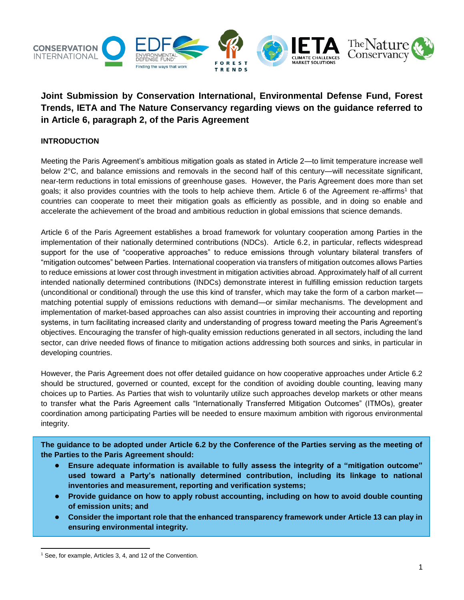

# **Joint Submission by Conservation International, Environmental Defense Fund, Forest Trends, IETA and The Nature Conservancy regarding views on the guidance referred to in Article 6, paragraph 2, of the Paris Agreement**

# **INTRODUCTION**

Meeting the Paris Agreement's ambitious mitigation goals as stated in Article 2—to limit temperature increase well below 2°C, and balance emissions and removals in the second half of this century—will necessitate significant, near-term reductions in total emissions of greenhouse gases. However, the Paris Agreement does more than set goals; it also provides countries with the tools to help achieve them. Article 6 of the Agreement re-affirms<sup>1</sup> that countries can cooperate to meet their mitigation goals as efficiently as possible, and in doing so enable and accelerate the achievement of the broad and ambitious reduction in global emissions that science demands.

Article 6 of the Paris Agreement establishes a broad framework for voluntary cooperation among Parties in the implementation of their nationally determined contributions (NDCs). Article 6.2, in particular, reflects widespread support for the use of "cooperative approaches" to reduce emissions through voluntary bilateral transfers of "mitigation outcomes" between Parties. International cooperation via transfers of mitigation outcomes allows Parties to reduce emissions at lower cost through investment in mitigation activities abroad. Approximately half of all current intended nationally determined contributions (INDCs) demonstrate interest in fulfilling emission reduction targets (unconditional or conditional) through the use this kind of transfer, which may take the form of a carbon market matching potential supply of emissions reductions with demand—or similar mechanisms. The development and implementation of market-based approaches can also assist countries in improving their accounting and reporting systems, in turn facilitating increased clarity and understanding of progress toward meeting the Paris Agreement's objectives. Encouraging the transfer of high-quality emission reductions generated in all sectors, including the land sector, can drive needed flows of finance to mitigation actions addressing both sources and sinks, in particular in developing countries.

However, the Paris Agreement does not offer detailed guidance on how cooperative approaches under Article 6.2 should be structured, governed or counted, except for the condition of avoiding double counting, leaving many choices up to Parties. As Parties that wish to voluntarily utilize such approaches develop markets or other means to transfer what the Paris Agreement calls "Internationally Transferred Mitigation Outcomes" (ITMOs), greater coordination among participating Parties will be needed to ensure maximum ambition with rigorous environmental integrity.

**The guidance to be adopted under Article 6.2 by the Conference of the Parties serving as the meeting of the Parties to the Paris Agreement should:**

- **Ensure adequate information is available to fully assess the integrity of a "mitigation outcome" used toward a Party's nationally determined contribution, including its linkage to national inventories and measurement, reporting and verification systems;**
- **Provide guidance on how to apply robust accounting, including on how to avoid double counting of emission units; and**
- **Consider the important role that the enhanced transparency framework under Article 13 can play in ensuring environmental integrity.**

<sup>&</sup>lt;sup>1</sup> See, for example, Articles 3, 4, and 12 of the Convention.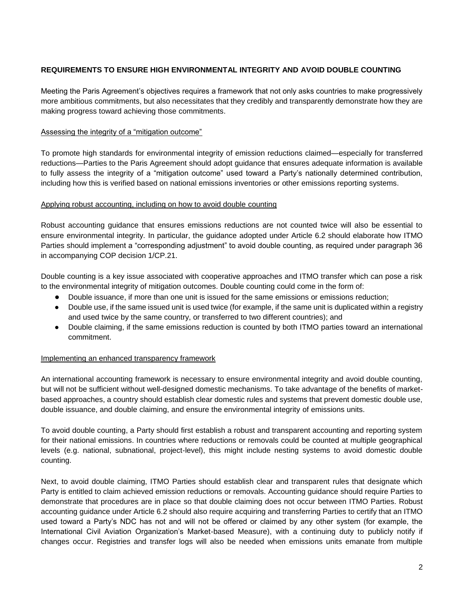### **REQUIREMENTS TO ENSURE HIGH ENVIRONMENTAL INTEGRITY AND AVOID DOUBLE COUNTING**

Meeting the Paris Agreement's objectives requires a framework that not only asks countries to make progressively more ambitious commitments, but also necessitates that they credibly and transparently demonstrate how they are making progress toward achieving those commitments.

#### Assessing the integrity of a "mitigation outcome"

To promote high standards for environmental integrity of emission reductions claimed—especially for transferred reductions—Parties to the Paris Agreement should adopt guidance that ensures adequate information is available to fully assess the integrity of a "mitigation outcome" used toward a Party's nationally determined contribution, including how this is verified based on national emissions inventories or other emissions reporting systems.

#### Applying robust accounting, including on how to avoid double counting

Robust accounting guidance that ensures emissions reductions are not counted twice will also be essential to ensure environmental integrity. In particular, the guidance adopted under Article 6.2 should elaborate how ITMO Parties should implement a "corresponding adjustment" to avoid double counting, as required under paragraph 36 in accompanying COP decision 1/CP.21.

Double counting is a key issue associated with cooperative approaches and ITMO transfer which can pose a risk to the environmental integrity of mitigation outcomes. Double counting could come in the form of:

- Double issuance, if more than one unit is issued for the same emissions or emissions reduction;
- Double use, if the same issued unit is used twice (for example, if the same unit is duplicated within a registry and used twice by the same country, or transferred to two different countries); and
- Double claiming, if the same emissions reduction is counted by both ITMO parties toward an international commitment.

#### Implementing an enhanced transparency framework

An international accounting framework is necessary to ensure environmental integrity and avoid double counting, but will not be sufficient without well-designed domestic mechanisms. To take advantage of the benefits of marketbased approaches, a country should establish clear domestic rules and systems that prevent domestic double use, double issuance, and double claiming, and ensure the environmental integrity of emissions units.

To avoid double counting, a Party should first establish a robust and transparent accounting and reporting system for their national emissions. In countries where reductions or removals could be counted at multiple geographical levels (e.g. national, subnational, project-level), this might include nesting systems to avoid domestic double counting.

Next, to avoid double claiming, ITMO Parties should establish clear and transparent rules that designate which Party is entitled to claim achieved emission reductions or removals. Accounting guidance should require Parties to demonstrate that procedures are in place so that double claiming does not occur between ITMO Parties. Robust accounting guidance under Article 6.2 should also require acquiring and transferring Parties to certify that an ITMO used toward a Party's NDC has not and will not be offered or claimed by any other system (for example, the International Civil Aviation Organization's Market-based Measure), with a continuing duty to publicly notify if changes occur. Registries and transfer logs will also be needed when emissions units emanate from multiple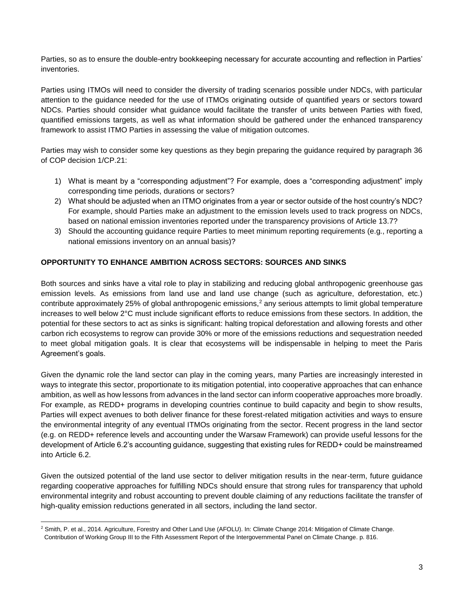Parties, so as to ensure the double-entry bookkeeping necessary for accurate accounting and reflection in Parties' inventories.

Parties using ITMOs will need to consider the diversity of trading scenarios possible under NDCs, with particular attention to the guidance needed for the use of ITMOs originating outside of quantified years or sectors toward NDCs. Parties should consider what guidance would facilitate the transfer of units between Parties with fixed, quantified emissions targets, as well as what information should be gathered under the enhanced transparency framework to assist ITMO Parties in assessing the value of mitigation outcomes.

Parties may wish to consider some key questions as they begin preparing the guidance required by paragraph 36 of COP decision 1/CP.21:

- 1) What is meant by a "corresponding adjustment"? For example, does a "corresponding adjustment" imply corresponding time periods, durations or sectors?
- 2) What should be adjusted when an ITMO originates from a year or sector outside of the host country's NDC? For example, should Parties make an adjustment to the emission levels used to track progress on NDCs, based on national emission inventories reported under the transparency provisions of Article 13.7?
- 3) Should the accounting guidance require Parties to meet minimum reporting requirements (e.g., reporting a national emissions inventory on an annual basis)?

# **OPPORTUNITY TO ENHANCE AMBITION ACROSS SECTORS: SOURCES AND SINKS**

Both sources and sinks have a vital role to play in stabilizing and reducing global anthropogenic greenhouse gas emission levels. As emissions from land use and land use change (such as agriculture, deforestation, etc.) contribute approximately 25% of global anthropogenic emissions, $<sup>2</sup>$  any serious attempts to limit global temperature</sup> increases to well below 2°C must include significant efforts to reduce emissions from these sectors. In addition, the potential for these sectors to act as sinks is significant: halting tropical deforestation and allowing forests and other carbon rich ecosystems to regrow can provide 30% or more of the emissions reductions and sequestration needed to meet global mitigation goals. It is clear that ecosystems will be indispensable in helping to meet the Paris Agreement's goals.

Given the dynamic role the land sector can play in the coming years, many Parties are increasingly interested in ways to integrate this sector, proportionate to its mitigation potential, into cooperative approaches that can enhance ambition, as well as how lessons from advances in the land sector can inform cooperative approaches more broadly. For example, as REDD+ programs in developing countries continue to build capacity and begin to show results, Parties will expect avenues to both deliver finance for these forest-related mitigation activities and ways to ensure the environmental integrity of any eventual ITMOs originating from the sector. Recent progress in the land sector (e.g. on REDD+ reference levels and accounting under the Warsaw Framework) can provide useful lessons for the development of Article 6.2's accounting guidance, suggesting that existing rules for REDD+ could be mainstreamed into Article 6.2.

Given the outsized potential of the land use sector to deliver mitigation results in the near-term, future guidance regarding cooperative approaches for fulfilling NDCs should ensure that strong rules for transparency that uphold environmental integrity and robust accounting to prevent double claiming of any reductions facilitate the transfer of high-quality emission reductions generated in all sectors, including the land sector.

 <sup>2</sup> Smith, P. et al., 2014. Agriculture, Forestry and Other Land Use (AFOLU). In: Climate Change 2014: Mitigation of Climate Change. Contribution of Working Group III to the Fifth Assessment Report of the Intergovernmental Panel on Climate Change. p. 816.